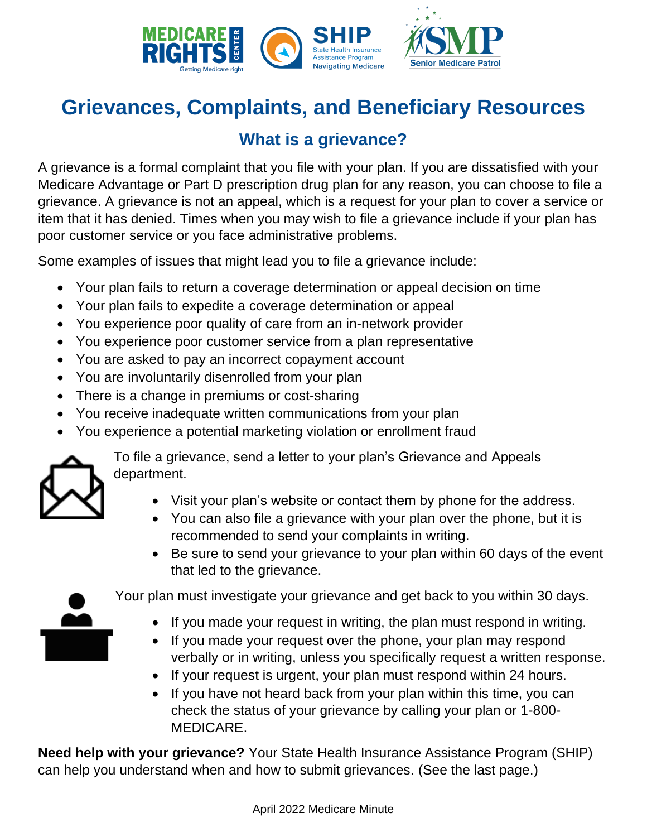

# **Grievances, Complaints, and Beneficiary Resources**

## **What is a grievance?**

A grievance is a formal complaint that you file with your plan. If you are dissatisfied with your Medicare Advantage or Part D prescription drug plan for any reason, you can choose to file a grievance. A grievance is not an appeal, which is a request for your plan to cover a service or item that it has denied. Times when you may wish to file a grievance include if your plan has poor customer service or you face administrative problems.

Some examples of issues that might lead you to file a grievance include:

- Your plan fails to return a coverage determination or appeal decision on time
- Your plan fails to expedite a coverage determination or appeal
- You experience poor quality of care from an in-network provider
- You experience poor customer service from a plan representative
- You are asked to pay an incorrect copayment account
- You are involuntarily disenrolled from your plan
- There is a change in premiums or cost-sharing
- You receive inadequate written communications from your plan
- You experience a potential marketing violation or enrollment fraud



To file a grievance, send a letter to your plan's Grievance and Appeals department.

- Visit your plan's website or contact them by phone for the address.
- You can also file a grievance with your plan over the phone, but it is recommended to send your complaints in writing.
- Be sure to send your grievance to your plan within 60 days of the event that led to the grievance.



Your plan must investigate your grievance and get back to you within 30 days.

- If you made your request in writing, the plan must respond in writing.
- If you made your request over the phone, your plan may respond verbally or in writing, unless you specifically request a written response.
- If your request is urgent, your plan must respond within 24 hours.
- If you have not heard back from your plan within this time, you can check the status of your grievance by calling your plan or 1-800- MEDICARE.

**Need help with your grievance?** Your State Health Insurance Assistance Program (SHIP) can help you understand when and how to submit grievances. (See the last page.)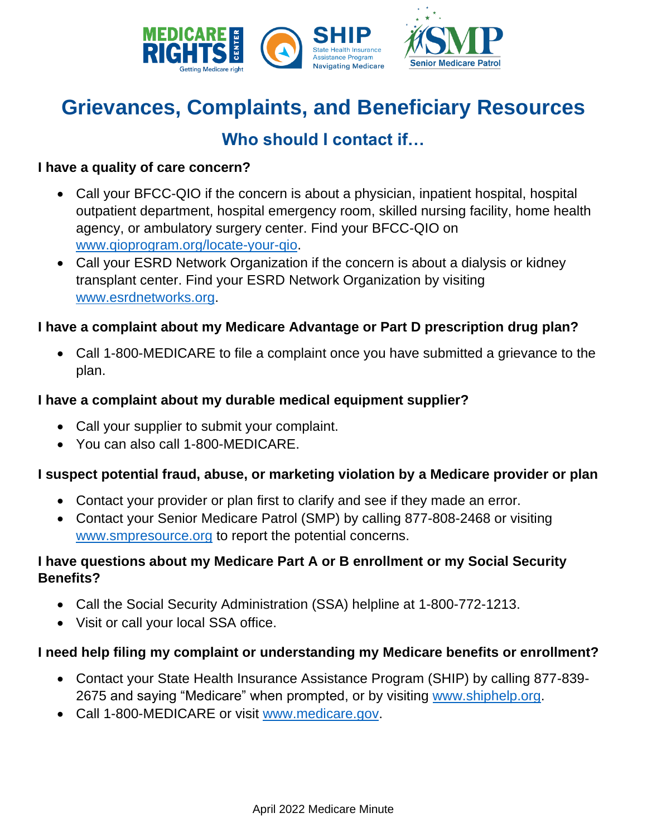

# **Grievances, Complaints, and Beneficiary Resources**

### **Who should I contact if…**

#### **I have a quality of care concern?**

- Call your BFCC-QIO if the concern is about a physician, inpatient hospital, hospital outpatient department, hospital emergency room, skilled nursing facility, home health agency, or ambulatory surgery center. Find your BFCC-QIO on [www.qioprogram.org/locate-your-qio.](http://www.qioprogram.org/locate-your-qio)
- Call your ESRD Network Organization if the concern is about a dialysis or kidney transplant center. Find your ESRD Network Organization by visiting [www.esrdnetworks.org.](http://www.esrdnetworks.org/)

#### **I have a complaint about my Medicare Advantage or Part D prescription drug plan?**

• Call 1-800-MEDICARE to file a complaint once you have submitted a grievance to the plan.

#### **I have a complaint about my durable medical equipment supplier?**

- Call your supplier to submit your complaint.
- You can also call 1-800-MEDICARE.

#### **I suspect potential fraud, abuse, or marketing violation by a Medicare provider or plan**

- Contact your provider or plan first to clarify and see if they made an error.
- Contact your Senior Medicare Patrol (SMP) by calling 877-808-2468 or visiting [www.smpresource.org](http://www.smpresource.org/) to report the potential concerns.

#### **I have questions about my Medicare Part A or B enrollment or my Social Security Benefits?**

- Call the Social Security Administration (SSA) helpline at 1-800-772-1213.
- Visit or call your local SSA office.

#### **I need help filing my complaint or understanding my Medicare benefits or enrollment?**

- Contact your State Health Insurance Assistance Program (SHIP) by calling 877-839- 2675 and saying "Medicare" when prompted, or by visiting [www.shiphelp.org.](http://www.shiphelp.org/)
- Call 1-800-MEDICARE or visit [www.medicare.gov.](http://www.medicare.gov/)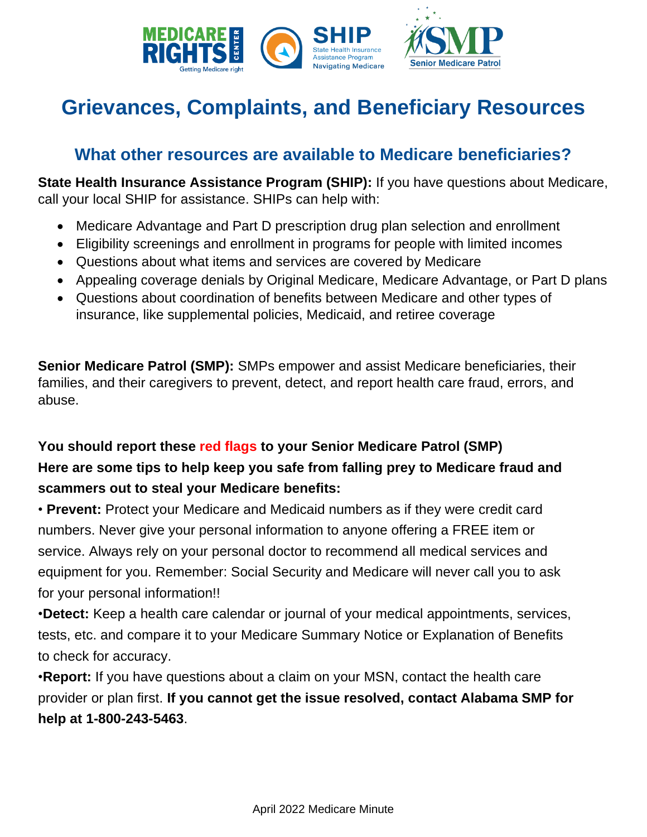

# **Grievances, Complaints, and Beneficiary Resources**

### **What other resources are available to Medicare beneficiaries?**

**State Health Insurance Assistance Program (SHIP):** If you have questions about Medicare, call your local SHIP for assistance. SHIPs can help with:

- Medicare Advantage and Part D prescription drug plan selection and enrollment
- Eligibility screenings and enrollment in programs for people with limited incomes
- Questions about what items and services are covered by Medicare
- Appealing coverage denials by Original Medicare, Medicare Advantage, or Part D plans
- Questions about coordination of benefits between Medicare and other types of insurance, like supplemental policies, Medicaid, and retiree coverage

**Senior Medicare Patrol (SMP):** SMPs empower and assist Medicare beneficiaries, their families, and their caregivers to prevent, detect, and report health care fraud, errors, and abuse.

### **You should report these red flags to your Senior Medicare Patrol (SMP) Here are some tips to help keep you safe from falling prey to Medicare fraud and scammers out to steal your Medicare benefits:**

• **Prevent:** Protect your Medicare and Medicaid numbers as if they were credit card numbers. Never give your personal information to anyone offering a FREE item or service. Always rely on your personal doctor to recommend all medical services and equipment for you. Remember: Social Security and Medicare will never call you to ask for your personal information!!

•**Detect:** Keep a health care calendar or journal of your medical appointments, services, tests, etc. and compare it to your Medicare Summary Notice or Explanation of Benefits to check for accuracy.

•**Report:** If you have questions about a claim on your MSN, contact the health care provider or plan first. **If you cannot get the issue resolved, contact Alabama SMP for help at 1-800-243-5463**.